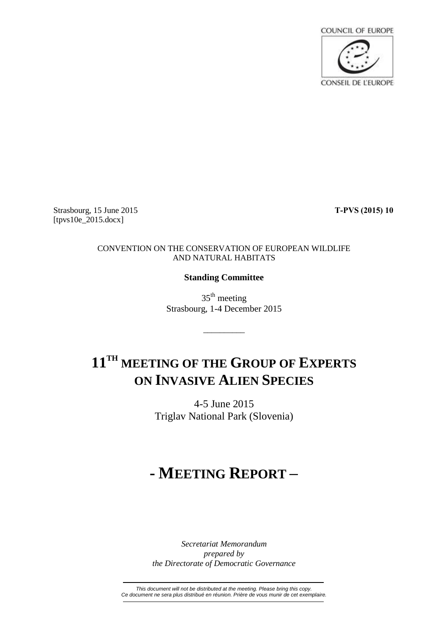

Strasbourg, 15 June 2015 **T-PVS (2015) 10** [tpvs10e\_2015.docx]

## CONVENTION ON THE CONSERVATION OF EUROPEAN WILDLIFE AND NATURAL HABITATS

## **Standing Committee**

35<sup>th</sup> meeting Strasbourg, 1-4 December 2015

\_\_\_\_\_\_\_\_\_\_

# **11TH MEETING OF THE GROUP OF EXPERTS ON INVASIVE ALIEN SPECIES**

4-5 June 2015 Triglav National Park (Slovenia)

# **- MEETING REPORT –**

*Secretariat Memorandum prepared by the Directorate of Democratic Governance*

*This document will not be distributed at the meeting. Please bring this copy. Ce document ne sera plus distribué en réunion. Prière de vous munir de cet exemplaire.*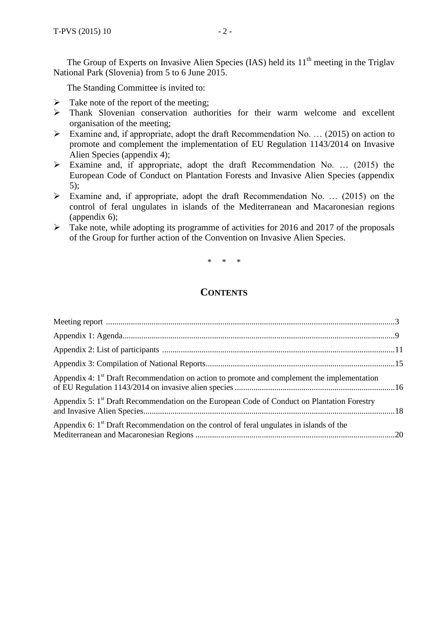The Group of Experts on Invasive Alien Species (IAS) held its  $11<sup>th</sup>$  meeting in the Triglav National Park (Slovenia) from 5 to 6 June 2015.

The Standing Committee is invited to:

- $\triangleright$  Take note of the report of the meeting;
- Thank Slovenian conservation authorities for their warm welcome and excellent organisation of the meeting;
- Examine and, if appropriate, adopt the draft Recommendation No. ... (2015) on action to promote and complement the implementation of EU Regulation 1143/2014 on Invasive Alien Species (appendix 4);
- $\triangleright$  Examine and, if appropriate, adopt the draft Recommendation No. ... (2015) the European Code of Conduct on Plantation Forests and Invasive Alien Species (appendix 5);
- Examine and, if appropriate, adopt the draft Recommendation No. … (2015) on the control of feral ungulates in islands of the Mediterranean and Macaronesian regions (appendix 6);
- $\triangleright$  Take note, while adopting its programme of activities for 2016 and 2017 of the proposals of the Group for further action of the Convention on Invasive Alien Species.

\* \* \*

# **CONTENTS**

| Appendix 4: 1 <sup>st</sup> Draft Recommendation on action to promote and complement the implementation |  |
|---------------------------------------------------------------------------------------------------------|--|
| Appendix 5: 1 <sup>st</sup> Draft Recommendation on the European Code of Conduct on Plantation Forestry |  |
| Appendix 6: 1 <sup>st</sup> Draft Recommendation on the control of feral ungulates in islands of the    |  |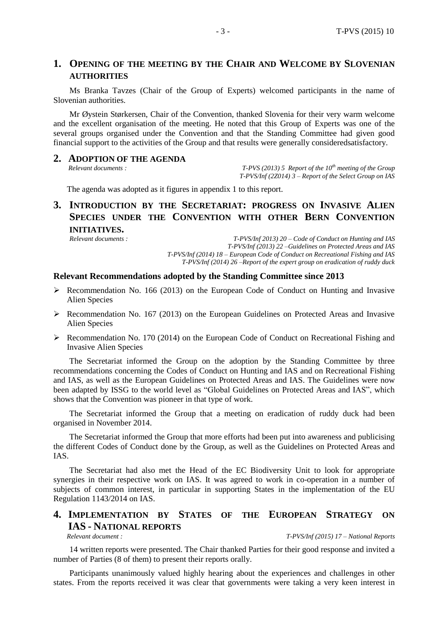# **1. OPENING OF THE MEETING BY THE CHAIR AND WELCOME BY SLOVENIAN AUTHORITIES**

Ms Branka Tavzes (Chair of the Group of Experts) welcomed participants in the name of Slovenian authorities.

Mr Øystein Størkersen, Chair of the Convention, thanked Slovenia for their very warm welcome and the excellent organisation of the meeting. He noted that this Group of Experts was one of the several groups organised under the Convention and that the Standing Committee had given good financial support to the activities of the Group and that results were generally consideredsatisfactory.

# **2. ADOPTION OF THE AGENDA**

*Relevant documents : T-PVS (2013) 5 Report of the 10th meeting of the Group T-PVS/Inf (2Z014) 3 – Report of the Select Group on IAS*

The agenda was adopted as it figures in appendix 1 to this report.

# **3. INTRODUCTION BY THE SECRETARIAT: PROGRESS ON INVASIVE ALIEN SPECIES UNDER THE CONVENTION WITH OTHER BERN CONVENTION INITIATIVES.**

*Relevant documents : T-PVS/Inf 2013) 20 – Code of Conduct on Hunting and IAS T-PVS/Inf (2013) 22 –Guidelines on Protected Areas and IAS T-PVS/Inf (2014) 18 – European Code of Conduct on Recreational Fishing and IAS T-PVS/Inf (2014) 26 –Report of the expert group on eradication of ruddy duck*

#### **Relevant Recommendations adopted by the Standing Committee since 2013**

- $\triangleright$  Recommendation No. 166 (2013) on the European Code of Conduct on Hunting and Invasive Alien Species
- $\triangleright$  Recommendation No. 167 (2013) on the European Guidelines on Protected Areas and Invasive Alien Species
- Recommendation No. 170 (2014) on the European Code of Conduct on Recreational Fishing and Invasive Alien Species

The Secretariat informed the Group on the adoption by the Standing Committee by three recommendations concerning the Codes of Conduct on Hunting and IAS and on Recreational Fishing and IAS, as well as the European Guidelines on Protected Areas and IAS. The Guidelines were now been adapted by ISSG to the world level as "Global Guidelines on Protected Areas and IAS", which shows that the Convention was pioneer in that type of work.

The Secretariat informed the Group that a meeting on eradication of ruddy duck had been organised in November 2014.

The Secretariat informed the Group that more efforts had been put into awareness and publicising the different Codes of Conduct done by the Group, as well as the Guidelines on Protected Areas and IAS.

The Secretariat had also met the Head of the EC Biodiversity Unit to look for appropriate synergies in their respective work on IAS. It was agreed to work in co-operation in a number of subjects of common interest, in particular in supporting States in the implementation of the EU Regulation 1143/2014 on IAS.

## **4. IMPLEMENTATION BY STATES OF THE EUROPEAN STRATEGY ON IAS - NATIONAL REPORTS**

*Relevant document : T-PVS/Inf (2015) 17 – National Reports*

14 written reports were presented. The Chair thanked Parties for their good response and invited a number of Parties (8 of them) to present their reports orally.

Participants unanimously valued highly hearing about the experiences and challenges in other states. From the reports received it was clear that governments were taking a very keen interest in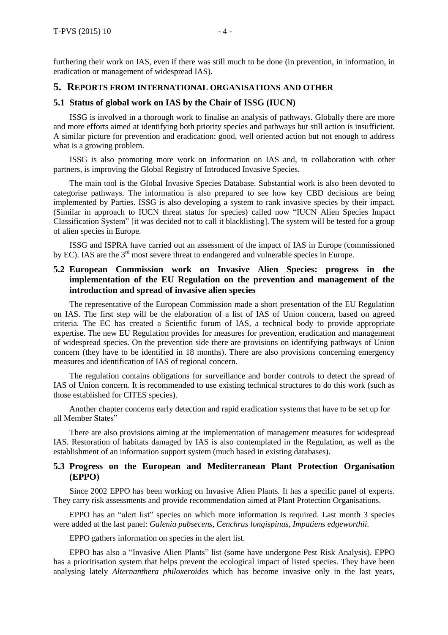furthering their work on IAS, even if there was still much to be done (in prevention, in information, in eradication or management of widespread IAS).

## **5. REPORTS FROM INTERNATIONAL ORGANISATIONS AND OTHER**

#### **5.1 Status of global work on IAS by the Chair of ISSG (IUCN)**

ISSG is involved in a thorough work to finalise an analysis of pathways. Globally there are more and more efforts aimed at identifying both priority species and pathways but still action is insufficient. A similar picture for prevention and eradication: good, well oriented action but not enough to address what is a growing problem.

ISSG is also promoting more work on information on IAS and, in collaboration with other partners, is improving the Global Registry of Introduced Invasive Species.

The main tool is the Global Invasive Species Database. Substantial work is also been devoted to categorise pathways. The information is also prepared to see how key CBD decisions are being implemented by Parties. ISSG is also developing a system to rank invasive species by their impact. (Similar in approach to IUCN threat status for species) called now "IUCN Alien Species Impact Classification System" [it was decided not to call it blacklisting]. The system will be tested for a group of alien species in Europe.

ISSG and ISPRA have carried out an assessment of the impact of IAS in Europe (commissioned by EC). IAS are the  $3<sup>rd</sup>$  most severe threat to endangered and vulnerable species in Europe.

## **5.2 European Commission work on Invasive Alien Species: progress in the implementation of the EU Regulation on the prevention and management of the introduction and spread of invasive alien species**

The representative of the European Commission made a short presentation of the EU Regulation on IAS. The first step will be the elaboration of a list of IAS of Union concern, based on agreed criteria. The EC has created a Scientific forum of IAS, a technical body to provide appropriate expertise. The new EU Regulation provides for measures for prevention, eradication and management of widespread species. On the prevention side there are provisions on identifying pathways of Union concern (they have to be identified in 18 months). There are also provisions concerning emergency measures and identification of IAS of regional concern.

The regulation contains obligations for surveillance and border controls to detect the spread of IAS of Union concern. It is recommended to use existing technical structures to do this work (such as those established for CITES species).

Another chapter concerns early detection and rapid eradication systems that have to be set up for all Member States"

There are also provisions aiming at the implementation of management measures for widespread IAS. Restoration of habitats damaged by IAS is also contemplated in the Regulation, as well as the establishment of an information support system (much based in existing databases).

## **5.3 Progress on the European and Mediterranean Plant Protection Organisation (EPPO)**

Since 2002 EPPO has been working on Invasive Alien Plants. It has a specific panel of experts. They carry risk assessments and provide recommendation aimed at Plant Protection Organisations.

EPPO has an "alert list" species on which more information is required. Last month 3 species were added at the last panel: *Galenia pubsecens*, *Cenchrus longispinus*, *Impatiens edgeworthii*.

EPPO gathers information on species in the alert list.

EPPO has also a "Invasive Alien Plants" list (some have undergone Pest Risk Analysis). EPPO has a prioritisation system that helps prevent the ecological impact of listed species. They have been analysing lately *Alternanthera philoxeroides* which has become invasive only in the last years,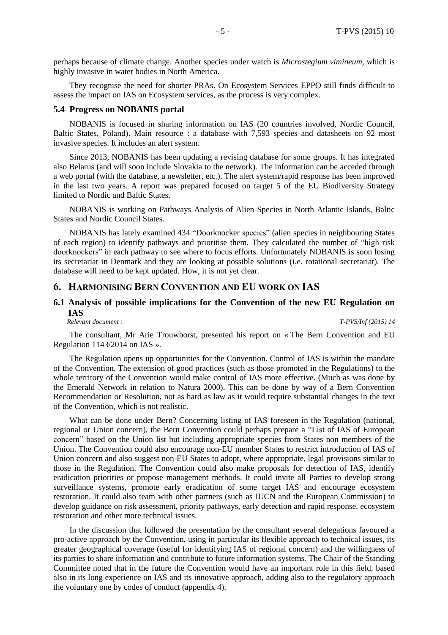perhaps because of climate change. Another species under watch is *Microstegium vimineum*, which is highly invasive in water bodies in North America.

They recognise the need for shorter PRAs. On Ecosystem Services EPPO still finds difficult to assess the impact on IAS on Ecosystem services, as the process is very complex.

#### **5.4 Progress on NOBANIS portal**

NOBANIS is focused in sharing information on IAS (20 countries involved, Nordic Council, Baltic States, Poland). Main resource : a database with 7,593 species and datasheets on 92 most invasive species. It includes an alert system.

Since 2013, NOBANIS has been updating a revising database for some groups. It has integrated also Belarus (and will soon include Slovakia to the network). The information can be acceded through a web portal (with the database, a newsletter, etc.). The alert system/rapid response has been improved in the last two years. A report was prepared focused on target 5 of the EU Biodiversity Strategy limited to Nordic and Baltic States.

NOBANIS is working on Pathways Analysis of Alien Species in North Atlantic Islands, Baltic States and Nordic Council States.

NOBANIS has lately examined 434 "Doorknocker species" (alien species in neighbouring States of each region) to identify pathways and prioritise them. They calculated the number of "high risk doorknockers" in each pathway to see where to focus efforts. Unfortunately NOBANIS is soon losing its secretariat in Denmark and they are looking at possible solutions (i.e. rotational secretariat). The database will need to be kept updated. How, it is not yet clear.

## **6. HARMONISING BERN CONVENTION AND EU WORK ON IAS**

# **6.1 Analysis of possible implications for the Convention of the new EU Regulation on IAS**<br>*Relevant document :*

*Relevant document : T-PVS/Inf (2015) 14*

The consultant, Mr Arie Trouwborst, presented his report on « The Bern Convention and EU Regulation 1143/2014 on IAS ».

The Regulation opens up opportunities for the Convention. Control of IAS is within the mandate of the Convention. The extension of good practices (such as those promoted in the Regulations) to the whole territory of the Convention would make control of IAS more effective. (Much as was done by the Emerald Network in relation to Natura 2000). This can be done by way of a Bern Convention Recommendation or Resolution, not as hard as law as it would require substantial changes in the text of the Convention, which is not realistic.

What can be done under Bern? Concerning listing of IAS foreseen in the Regulation (national, regional or Union concern), the Bern Convention could perhaps prepare a "List of IAS of European concern" based on the Union list but including appropriate species from States non members of the Union. The Convention could also encourage non-EU member States to restrict introduction of IAS of Union concern and also suggest non-EU States to adopt, where appropriate, legal provisions similar to those in the Regulation. The Convention could also make proposals for detection of IAS, identify eradication priorities or propose management methods. It could invite all Parties to develop strong surveillance systems, promote early eradication of some target IAS and encourage ecosystem restoration. It could also team with other partners (such as IUCN and the European Commission) to develop guidance on risk assessment, priority pathways, early detection and rapid response, ecosystem restoration and other more technical issues.

In the discussion that followed the presentation by the consultant several delegations favoured a pro-active approach by the Convention, using in particular its flexible approach to technical issues, its greater geographical coverage (useful for identifying IAS of regional concern) and the willingness of its parties to share information and contribute to future information systems. The Chair of the Standing Committee noted that in the future the Convention would have an important role in this field, based also in its long experience on IAS and its innovative approach, adding also to the regulatory approach the voluntary one by codes of conduct (appendix 4).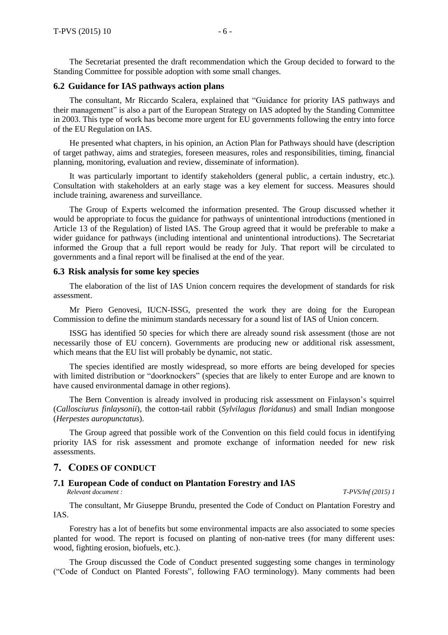The Secretariat presented the draft recommendation which the Group decided to forward to the Standing Committee for possible adoption with some small changes.

#### **6.2 Guidance for IAS pathways action plans**

The consultant, Mr Riccardo Scalera, explained that "Guidance for priority IAS pathways and their management" is also a part of the European Strategy on IAS adopted by the Standing Committee in 2003. This type of work has become more urgent for EU governments following the entry into force of the EU Regulation on IAS.

He presented what chapters, in his opinion, an Action Plan for Pathways should have (description of target pathway, aims and strategies, foreseen measures, roles and responsibilities, timing, financial planning, monitoring, evaluation and review, disseminate of information).

It was particularly important to identify stakeholders (general public, a certain industry, etc.). Consultation with stakeholders at an early stage was a key element for success. Measures should include training, awareness and surveillance.

The Group of Experts welcomed the information presented. The Group discussed whether it would be appropriate to focus the guidance for pathways of unintentional introductions (mentioned in Article 13 of the Regulation) of listed IAS. The Group agreed that it would be preferable to make a wider guidance for pathways (including intentional and unintentional introductions). The Secretariat informed the Group that a full report would be ready for July. That report will be circulated to governments and a final report will be finalised at the end of the year.

#### **6.3 Risk analysis for some key species**

The elaboration of the list of IAS Union concern requires the development of standards for risk assessment.

Mr Piero Genovesi, IUCN-ISSG, presented the work they are doing for the European Commission to define the minimum standards necessary for a sound list of IAS of Union concern.

ISSG has identified 50 species for which there are already sound risk assessment (those are not necessarily those of EU concern). Governments are producing new or additional risk assessment, which means that the EU list will probably be dynamic, not static.

The species identified are mostly widespread, so more efforts are being developed for species with limited distribution or "doorknockers" (species that are likely to enter Europe and are known to have caused environmental damage in other regions).

The Bern Convention is already involved in producing risk assessment on Finlayson's squirrel (*Callosciurus finlaysonii*), the cotton-tail rabbit (*Sylvilagus floridanus*) and small Indian mongoose (*Herpestes auropunctatus*).

The Group agreed that possible work of the Convention on this field could focus in identifying priority IAS for risk assessment and promote exchange of information needed for new risk assessments.

#### **7. CODES OF CONDUCT**

#### **7.1 European Code of conduct on Plantation Forestry and IAS**

*Relevant document : T-PVS/Inf (2015) 1*

The consultant, Mr Giuseppe Brundu, presented the Code of Conduct on Plantation Forestry and IAS.

Forestry has a lot of benefits but some environmental impacts are also associated to some species planted for wood. The report is focused on planting of non-native trees (for many different uses: wood, fighting erosion, biofuels, etc.).

The Group discussed the Code of Conduct presented suggesting some changes in terminology ("Code of Conduct on Planted Forests", following FAO terminology). Many comments had been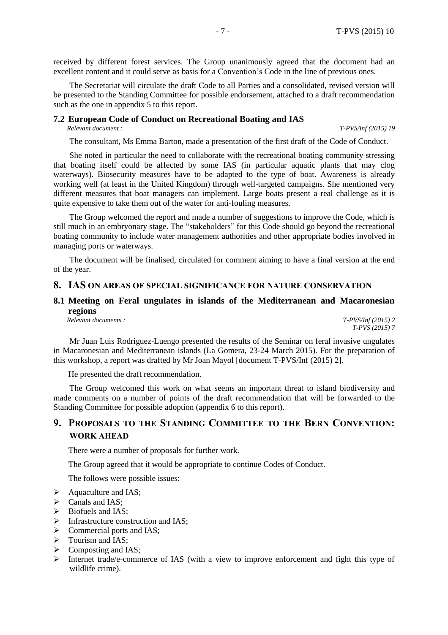received by different forest services. The Group unanimously agreed that the document had an excellent content and it could serve as basis for a Convention's Code in the line of previous ones.

The Secretariat will circulate the draft Code to all Parties and a consolidated, revised version will be presented to the Standing Committee for possible endorsement, attached to a draft recommendation such as the one in appendix 5 to this report.

# **7.2 European Code of Conduct on Recreational Boating and IAS**

*Relevant document : T-PVS/Inf (2015) 19*

The consultant, Ms Emma Barton, made a presentation of the first draft of the Code of Conduct.

She noted in particular the need to collaborate with the recreational boating community stressing that boating itself could be affected by some IAS (in particular aquatic plants that may clog waterways). Biosecurity measures have to be adapted to the type of boat. Awareness is already working well (at least in the United Kingdom) through well-targeted campaigns. She mentioned very different measures that boat managers can implement. Large boats present a real challenge as it is quite expensive to take them out of the water for anti-fouling measures.

The Group welcomed the report and made a number of suggestions to improve the Code, which is still much in an embryonary stage. The "stakeholders" for this Code should go beyond the recreational boating community to include water management authorities and other appropriate bodies involved in managing ports or waterways.

The document will be finalised, circulated for comment aiming to have a final version at the end of the year.

### **8. IAS ON AREAS OF SPECIAL SIGNIFICANCE FOR NATURE CONSERVATION**

## **8.1 Meeting on Feral ungulates in islands of the Mediterranean and Macaronesian regions**

*Relevant documents : T-PVS/Inf (2015) 2*

*T-PVS (2015) 7*

Mr Juan Luis Rodriguez-Luengo presented the results of the Seminar on feral invasive ungulates in Macaronesian and Mediterranean islands (La Gomera, 23-24 March 2015). For the preparation of this workshop, a report was drafted by Mr Joan Mayol [document T-PVS/Inf (2015) 2].

He presented the draft recommendation.

The Group welcomed this work on what seems an important threat to island biodiversity and made comments on a number of points of the draft recommendation that will be forwarded to the Standing Committee for possible adoption (appendix 6 to this report).

## **9. PROPOSALS TO THE STANDING COMMITTEE TO THE BERN CONVENTION: WORK AHEAD**

There were a number of proposals for further work.

The Group agreed that it would be appropriate to continue Codes of Conduct.

The follows were possible issues:

- $\triangleright$  Aquaculture and IAS;
- $\triangleright$  Canals and IAS:
- $\triangleright$  Biofuels and IAS;
- $\triangleright$  Infrastructure construction and IAS;
- $\triangleright$  Commercial ports and IAS;
- $\triangleright$  Tourism and IAS;
- $\triangleright$  Composting and IAS;
- Internet trade/e-commerce of IAS (with a view to improve enforcement and fight this type of wildlife crime).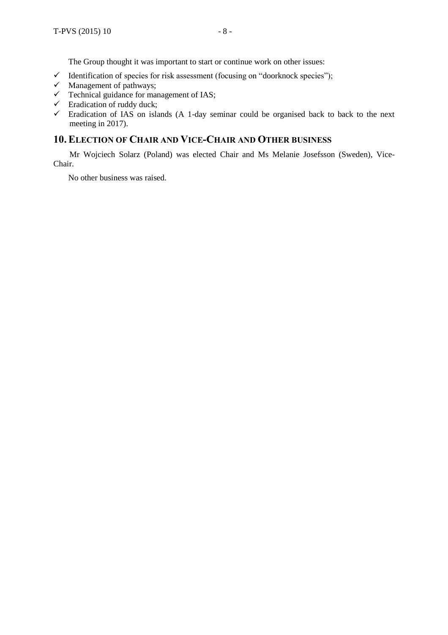The Group thought it was important to start or continue work on other issues:

- $\checkmark$  Identification of species for risk assessment (focusing on "doorknock species");
- $\checkmark$  Management of pathways;
- $\checkmark$  Technical guidance for management of IAS;
- $\checkmark$  Eradication of ruddy duck;
- $\checkmark$  Eradication of IAS on islands (A 1-day seminar could be organised back to back to the next meeting in 2017).

## **10.ELECTION OF CHAIR AND VICE-CHAIR AND OTHER BUSINESS**

Mr Wojciech Solarz (Poland) was elected Chair and Ms Melanie Josefsson (Sweden), Vice-Chair.

No other business was raised.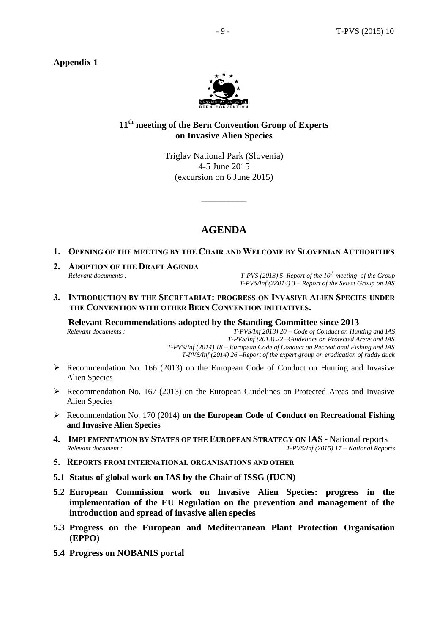

## **11th meeting of the Bern Convention Group of Experts on Invasive Alien Species**

Triglav National Park (Slovenia) 4-5 June 2015 (excursion on 6 June 2015)

 $\overline{\phantom{a}}$  , where  $\overline{\phantom{a}}$ 

# **AGENDA**

## **1. OPENING OF THE MEETING BY THE CHAIR AND WELCOME BY SLOVENIAN AUTHORITIES**

**2. ADOPTION OF THE DRAFT AGENDA**

*Relevant documents : T-PVS (2013) 5 Report of the 10th meeting of the Group T-PVS/Inf (2Z014) 3 – Report of the Select Group on IAS*

**3. INTRODUCTION BY THE SECRETARIAT: PROGRESS ON INVASIVE ALIEN SPECIES UNDER THE CONVENTION WITH OTHER BERN CONVENTION INITIATIVES.**

**Relevant Recommendations adopted by the Standing Committee since 2013**

*Relevant documents : T-PVS/Inf 2013) 20 – Code of Conduct on Hunting and IAS T-PVS/Inf (2013) 22 –Guidelines on Protected Areas and IAS T-PVS/Inf (2014) 18 – European Code of Conduct on Recreational Fishing and IAS T-PVS/Inf (2014) 26 –Report of the expert group on eradication of ruddy duck*

- $\triangleright$  Recommendation No. 166 (2013) on the European Code of Conduct on Hunting and Invasive Alien Species
- $\triangleright$  Recommendation No. 167 (2013) on the European Guidelines on Protected Areas and Invasive Alien Species
- Recommendation No. 170 (2014) **on the European Code of Conduct on Recreational Fishing and Invasive Alien Species**
- **4. IMPLEMENTATION BY STATES OF THE EUROPEAN STRATEGY ON IAS -** National reports *Relevant document : T-PVS/Inf (2015) 17 – National Reports*
- **5. REPORTS FROM INTERNATIONAL ORGANISATIONS AND OTHER**
- **5.1 Status of global work on IAS by the Chair of ISSG (IUCN)**
- **5.2 European Commission work on Invasive Alien Species: progress in the implementation of the EU Regulation on the prevention and management of the introduction and spread of invasive alien species**
- **5.3 Progress on the European and Mediterranean Plant Protection Organisation (EPPO)**
- **5.4 Progress on NOBANIS portal**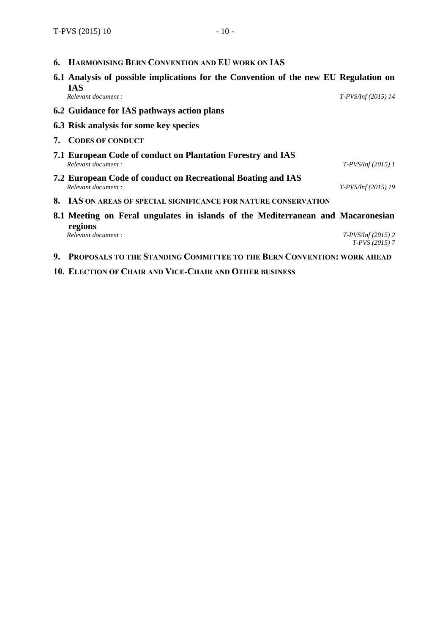**6. HARMONISING BERN CONVENTION AND EU WORK ON IAS**

|    | 6.1 Analysis of possible implications for the Convention of the new EU Regulation on<br><b>IAS</b> |                                        |
|----|----------------------------------------------------------------------------------------------------|----------------------------------------|
|    | Relevant document:                                                                                 | $T-PV S/Inf (2015)$ 14                 |
|    | 6.2 Guidance for IAS pathways action plans                                                         |                                        |
|    | 6.3 Risk analysis for some key species                                                             |                                        |
| 7. | <b>CODES OF CONDUCT</b>                                                                            |                                        |
|    | 7.1 European Code of conduct on Plantation Forestry and IAS<br>Relevant document:                  | $T-PV S/Inf$ (2015) 1                  |
|    | 7.2 European Code of conduct on Recreational Boating and IAS<br>Relevant document:                 | $T-PV S/Inf (2015)$ 19                 |
|    | 8. IAS ON AREAS OF SPECIAL SIGNIFICANCE FOR NATURE CONSERVATION                                    |                                        |
|    | 8.1 Meeting on Feral ungulates in islands of the Mediterranean and Macaronesian<br>regions         |                                        |
|    | Relevant document:                                                                                 | $T-PVS/Inf(2015)$ 2<br>$T-PVS(2015)$ 7 |

- **9. PROPOSALS TO THE STANDING COMMITTEE TO THE BERN CONVENTION: WORK AHEAD**
- **10. ELECTION OF CHAIR AND VICE-CHAIR AND OTHER BUSINESS**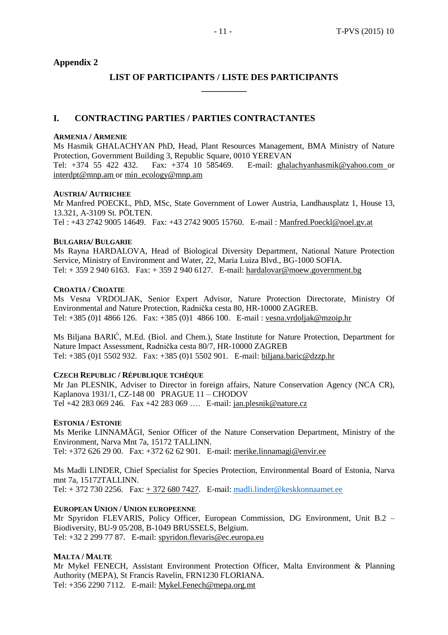## **LIST OF PARTICIPANTS / LISTE DES PARTICIPANTS \_\_\_\_\_\_\_\_\_\_**

## **I. CONTRACTING PARTIES / PARTIES CONTRACTANTES**

#### **ARMENIA / ARMENIE**

Ms Hasmik GHALACHYAN PhD, Head, Plant Resources Management, BMA Ministry of Nature Protection, Government Building 3, Republic Square, 0010 YEREVAN Tel: +374 55 422 432. Fax: +374 10 585469. E-mail: [ghalachyanhasmik@yahoo.com](mailto:ghalachyanhasmik@yahoo.com) or [interdpt@mnp.am](mailto:interdpt@mnp.am) or [min\\_ecology@mnp.am](mailto:min_ecology@mnp.am)

### **AUSTRIA/ AUTRICHEE**

Mr Manfred POECKL, PhD, MSc, State Government of Lower Austria, Landhausplatz 1, House 13, 13.321, A-3109 St. PÖLTEN. Tel : +43 2742 9005 14649. Fax: +43 2742 9005 15760. E-mail : [Manfred.Poeckl@noel.gv.at](mailto:Manfred.Poeckl@noel.gv.at)

#### **BULGARIA/ BULGARIE**

Ms Rayna HARDALOVA, Head of Biological Diversity Department, National Nature Protection Service, Ministry of Environment and Water, 22, Maria Luiza Blvd., BG-1000 SOFIA. Tel: + 359 2 940 6163. Fax: + 359 2 940 6127. E-mail: [hardalovar@moew.government.bg](mailto:hardalovar@moew.government.bg)

#### **CROATIA / CROATIE**

Ms Vesna VRDOLJAK, Senior Expert Advisor, Nature Protection Directorate, Ministry Of Environmental and Nature Protection, Radnička cesta 80, HR-10000 ZAGREB. Tel: +385 (0)1 4866 126. Fax: +385 (0)1 4866 100. E-mail : [vesna.vrdoljak@mzoip.hr](mailto:vesna.vrdoljak@mzoip.hr)

Ms Biljana BARIĆ, M.Ed. (Biol. and Chem.), State Institute for Nature Protection, Department for Nature Impact Assessment, Radnička cesta 80/7, HR-10000 ZAGREB Tel: +385 (0)1 5502 932. Fax: +385 (0)1 5502 901. E-mail: [biljana.baric@dzzp.hr](mailto:biljana.baric@dzzp.hr)

#### **CZECH REPUBLIC / RÉPUBLIQUE TCHÈQUE**

Mr Jan PLESNIK, Adviser to Director in foreign affairs, Nature Conservation Agency (NCA CR), Kaplanova 1931/1, CZ-148 00 PRAGUE 11 – CHODOV Tel +42 283 069 246. Fax +42 283 069 …. E-mail: [jan.plesnik@nature.cz](mailto:jan.plesnik@nature.cz)

#### **ESTONIA / ESTONIE**

Ms Merike LINNAMÄGI, Senior Officer of the Nature Conservation Department, Ministry of the Environment, Narva Mnt 7a, 15172 TALLINN. Tel: +372 626 29 00. Fax: +372 62 62 901. E-mail: [merike.linnamagi@envir.ee](mailto:merike.linnamagi@envir.ee)

Ms Madli LINDER, Chief Specialist for Species Protection, Environmental Board of Estonia, Narva mnt 7a, 15172TALLINN. Tel:  $+ 372 730 2256$ . Fax:  $+ 372 680 7427$ . E-mail: [madli.linder@keskkonnaamet.ee](mailto:madli.linder@keskkonnaamet.ee)

## **EUROPEAN UNION / UNION EUROPEENNE**

Mr Spyridon FLEVARIS, Policy Officer, European Commission, DG Environment, Unit B.2 – Biodiversity, BU-9 05/208, B-1049 BRUSSELS, Belgium. Tel: +32 2 299 77 87. E-mail: [spyridon.flevaris@ec.europa.eu](mailto:spyridon.flevaris@ec.europa.eu)

#### **MALTA / MALTE**

Mr Mykel FENECH, Assistant Environment Protection Officer, Malta Environment & Planning Authority (MEPA), St Francis Ravelin, FRN1230 FLORIANA. Tel: +356 2290 7112. E-mail: [Mykel.Fenech@mepa.org.mt](mailto:Mykel.Fenech@mepa.org.mt)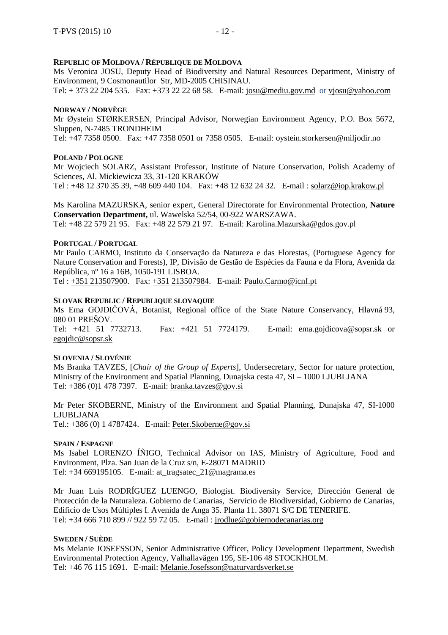## **REPUBLIC OF MOLDOVA / RÉPUBLIQUE DE MOLDOVA**

Ms Veronica JOSU, Deputy Head of Biodiversity and Natural Resources Department, Ministry of Environment, 9 Cosmonautilor Str, MD-2005 CHISINAU.

Tel: + 373 22 204 535. Fax: +373 22 22 68 58. E-mail: [josu@mediu.gov.md](mailto:josu@mediu.gov.md) or [vjosu@yahoo.com](mailto:vjosu@yahoo.com)

#### **NORWAY / NORVÈGE**

Mr Øystein STØRKERSEN, Principal Advisor, Norwegian Environment Agency, P.O. Box 5672, Sluppen, N-7485 TRONDHEIM

Tel: +47 7358 0500. Fax: +47 7358 0501 or 7358 0505. E-mail: [oystein.storkersen@miljodir.no](mailto:oystein.storkersen@miljodir.no)

#### **POLAND / POLOGNE**

Mr Wojciech SOLARZ, Assistant Professor, Institute of Nature Conservation, Polish Academy of Sciences, Al. Mickiewicza 33, 31-120 KRAKÓW

Tel : +48 12 370 35 39, +48 609 440 104. Fax: +48 12 632 24 32. E-mail : [solarz@iop.krakow.pl](mailto:solarz@iop.krakow.pl)

Ms Karolina MAZURSKA, senior expert, General Directorate for Environmental Protection, **Nature Conservation Department,** ul. Wawelska 52/54, 00-922 WARSZAWA. Tel: +48 22 579 21 95. Fax: +48 22 579 21 97. E-mail: [Karolina.Mazurska@gdos.gov.pl](mailto:Karolina.Mazurska@gdos.gov.pl)

#### **PORTUGAL / PORTUGAL**

Mr Paulo CARMO, Instituto da Conservação da Natureza e das Florestas, (Portuguese Agency for Nature Conservation and Forests), IP, Divisão de Gestão de Espécies da Fauna e da Flora, Avenida da República, nº 16 a 16B, 1050-191 LISBOA.

Tel : +351 [213507900.](tel:%2B351%20213507900) Fax: +351 [213507984.](mailto:+351%20213507984) E-mail: [Paulo.Carmo@icnf.pt](mailto:Paulo.Carmo@icnf.pt)

#### **SLOVAK REPUBLIC / REPUBLIQUE SLOVAQUIE**

Ms Ema GOJDIČOVÁ, Botanist, Regional office of the State Nature Conservancy, Hlavná 93, 080 01 PREŠOV. Tel: +421 51 7732713. Fax: +421 51 7724179. E-mail: [ema.gojdicova@sopsr.sk](mailto:ema.gojdicova@sopsr.sk) or [egojdic@sopsr.sk](mailto:egojdic@sopsr.sk)

#### **SLOVENIA / SLOVÉNIE**

Ms Branka TAVZES, [*Chair of the Group of Experts*], Undersecretary, Sector for nature protection, Ministry of the Environment and Spatial Planning, Dunajska cesta 47, SI – 1000 LJUBLJANA Tel: +386 (0)1 478 7397. E-mail: [branka.tavzes@gov.si](mailto:branka.tavzes@gov.si)

Mr Peter SKOBERNE, Ministry of the Environment and Spatial Planning, Dunajska 47, SI-1000 LJUBLJANA Tel.: +386 (0) 1 4787424. E-mail: [Peter.Skoberne@gov.si](mailto:Peter.Skoberne@gov.si)

#### **SPAIN / ESPAGNE**

Ms Isabel LORENZO ÍÑIGO, Technical Advisor on IAS, Ministry of Agriculture, Food and Environment, Plza. San Juan de la Cruz s/n, E-28071 MADRID Tel: +34 669195105. E-mail: [at\\_tragsatec\\_21@magrama.es](mailto:at_tragsatec_21@magrama.es)

Mr Juan Luis RODRÍGUEZ LUENGO, Biologist. Biodiversity Service, Dirección General de Protección de la Naturaleza. Gobierno de Canarias, Servicio de Biodiversidad, Gobierno de Canarias, Edificio de Usos Múltiples I. Avenida de Anga 35. Planta 11. 38071 S/C DE TENERIFE. Tel: +34 666 710 899 // 922 59 72 05. E-mail : [jrodlue@gobiernodecanarias.org](mailto:jrodlue@gobiernodecanarias.org)

#### **SWEDEN / SUÈDE**

Ms Melanie JOSEFSSON, Senior Administrative Officer, Policy Development Department, Swedish Environmental Protection Agency, Valhallavägen 195, SE-106 48 STOCKHOLM. Tel: +46 76 115 1691. E-mail: [Melanie.Josefsson@naturvardsverket.se](mailto:Melanie.Josefsson@naturvardsverket.se)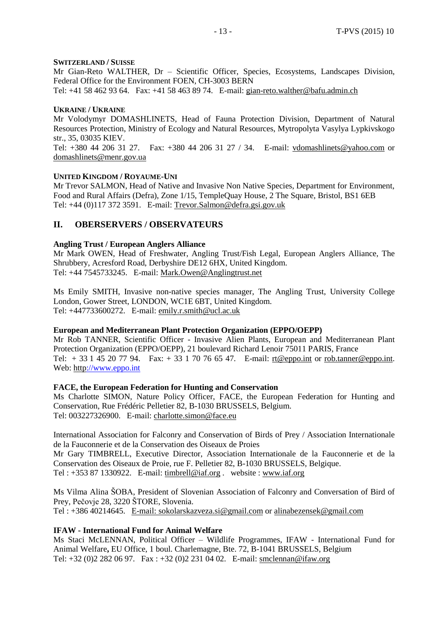#### **SWITZERLAND / SUISSE**

Mr Gian-Reto WALTHER, Dr – Scientific Officer, Species, Ecosystems, Landscapes Division, Federal Office for the Environment FOEN, CH-3003 BERN

Tel: +41 58 462 93 64. Fax: +41 58 463 89 74. E-mail: [gian-reto.walther@bafu.admin.ch](mailto:gian-reto.walther@bafu.admin.ch)

#### **UKRAINE / UKRAINE**

Mr Volodymyr DOMASHLINETS, Head of Fauna Protection Division, Department of Natural Resources Protection, Ministry of Ecology and Natural Resources, Mytropolyta Vasylya Lypkivskogo str., 35, 03035 KIEV.

Tel: +380 44 206 31 27. Fax: +380 44 206 31 27 / 34. E-mail: [vdomashlinets@yahoo.com](mailto:vdomashlinets@yahoo.com) or [domashlinets@menr.gov.ua](mailto:domashlinets@menr.gov.ua)

#### **UNITED KINGDOM / ROYAUME-UNI**

Mr Trevor SALMON, Head of Native and Invasive Non Native Species, Department for Environment, Food and Rural Affairs (Defra), Zone 1/15, TempleQuay House, 2 The Square, Bristol, BS1 6EB Tel: +44 (0)117 372 3591. E-mail: [Trevor.Salmon@defra.gsi.gov.uk](mailto:Trevor.Salmon@defra.gsi.gov.uk)

#### **II. OBERSERVERS / OBSERVATEURS**

#### **Angling Trust / European Anglers Alliance**

Mr Mark OWEN, Head of Freshwater, Angling Trust/Fish Legal, European Anglers Alliance, The Shrubbery, Acresford Road, Derbyshire DE12 6HX, United Kingdom. Tel: +44 7545733245. E-mail: [Mark.Owen@Anglingtrust.net](mailto:Mark.Owen@Anglingtrust.net)

Ms Emily SMITH, Invasive non-native species manager, The Angling Trust, University College London, Gower Street, LONDON, WC1E 6BT, United Kingdom. Tel: +447733600272. E-mail: [emily.r.smith@ucl.ac.uk](mailto:emily.r.smith@ucl.ac.uk)

#### **European and Mediterranean Plant Protection Organization (EPPO/OEPP)**

Mr Rob TANNER, Scientific Officer - Invasive Alien Plants, European and Mediterranean Plant Protection Organization (EPPO/OEPP), 21 boulevard Richard Lenoir 75011 PARIS, France Tel:  $+ 33145207794$ . Fax:  $+ 33170766547$ . E-mail: [rt@eppo.int](mailto:rt@eppo.int) or [rob.tanner@eppo.int.](mailto:rob.tanner@eppo.int) Web: [http:](http://www.eppo.int/)//www.eppo.int

#### **FACE, the European Federation for Hunting and Conservation**

Ms Charlotte SIMON, Nature Policy Officer, FACE, the European Federation for Hunting and Conservation, Rue Frédéric Pelletier 82, B-1030 BRUSSELS, Belgium. Tel: 003227326900. E-mail: [charlotte.simon@face.eu](mailto:charlotte.simon@face.eu)

International Association for Falconry and Conservation of Birds of Prey / Association Internationale de la Fauconnerie et de la Conservation des Oiseaux de Proies Mr Gary TIMBRELL, Executive Director, Association Internationale de la Fauconnerie et de la

Conservation des Oiseaux de Proie, rue F. Pelletier 82, B-1030 BRUSSELS, Belgique. Tel :  $+353871330922$ . E-mail: [timbrell@iaf.org](mailto:timbrell@iaf.org) . website : [www.iaf.org](http://www.iaf.org/)

Ms Vilma Alina ŠOBA, President of Slovenian Association of Falconry and Conversation of Bird of Prey, Pečovje 28, 3220 ŠTORE, Slovenia. Tel : +386 40214645. E-mail: [sokolarskazveza.si@gmail.com](mailto:sokolarskazveza.si@gmail.com) or [alinabezensek@gmail.com](mailto:alinabezensek@gmail.com)

## **IFAW - International Fund for Animal Welfare**

Ms Staci McLENNAN, Political Officer – Wildlife Programmes, IFAW - International Fund for Animal Welfare**,** EU Office, 1 boul. Charlemagne, Bte. 72, B-1041 BRUSSELS, Belgium Tel: +32 (0)2 282 06 97. Fax : +32 (0)2 231 04 02. E-mail: [smclennan@ifaw.org](mailto:smclennan@ifaw.org)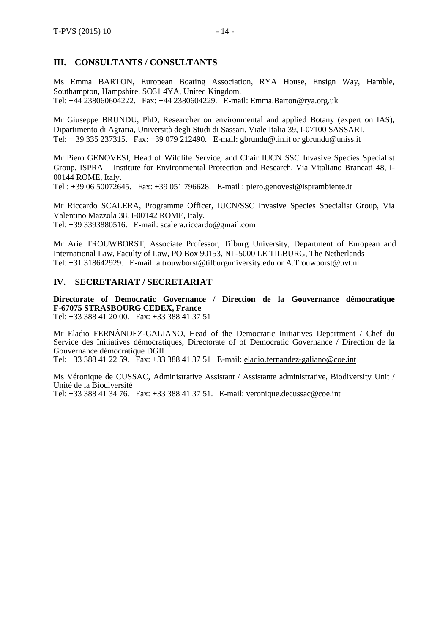## **III. CONSULTANTS / CONSULTANTS**

Ms Emma BARTON, European Boating Association, RYA House, Ensign Way, Hamble, Southampton, Hampshire, SO31 4YA, United Kingdom. Tel: +44 238060604222. Fax: +44 2380604229. E-mail: [Emma.Barton@rya.org.uk](mailto:Emma.Barton@rya.org.uk)

Mr Giuseppe BRUNDU, PhD, Researcher on environmental and applied Botany (expert on IAS), Dipartimento di Agraria, Università degli Studi di Sassari, Viale Italia 39, I-07100 SASSARI. Tel: + 39 335 237315. Fax: +39 079 212490. E-mail: [gbrundu@tin.it](mailto:gbrundu@tin.it) or [gbrundu@uniss.it](mailto:gbrundu@uniss.it)

Mr Piero GENOVESI, Head of Wildlife Service, and Chair IUCN SSC Invasive Species Specialist Group, ISPRA – Institute for Environmental Protection and Research, Via Vitaliano Brancati 48, I-00144 ROME, Italy.

Tel : +39 06 50072645. Fax: +39 051 796628. E-mail : [piero.genovesi@isprambiente.it](mailto:piero.genovesi@isprambiente.it)

Mr Riccardo SCALERA, Programme Officer, IUCN/SSC Invasive Species Specialist Group, Via Valentino Mazzola 38, I-00142 ROME, Italy. Tel: +39 3393880516. E-mail: [scalera.riccardo@gmail.com](mailto:scalera.riccardo@gmail.com)

Mr Arie TROUWBORST, Associate Professor, Tilburg University, Department of European and International Law, Faculty of Law, PO Box 90153, NL-5000 LE TILBURG, The Netherlands Tel: +31 318642929. E-mail: [a.trouwborst@tilburguniversity.edu](mailto:a.trouwborst@tilburguniversity.edu) or [A.Trouwborst@uvt.nl](mailto:A.Trouwborst@uvt.nl)

## **IV. SECRETARIAT / SECRETARIAT**

**Directorate of Democratic Governance / Direction de la Gouvernance démocratique F-67075 STRASBOURG CEDEX, France**

Tel: +33 388 41 20 00. Fax: +33 388 41 37 51

Mr Eladio FERNÁNDEZ-GALIANO, Head of the Democratic Initiatives Department / Chef du Service des Initiatives démocratiques, Directorate of of Democratic Governance / Direction de la Gouvernance démocratique DGII Tel: +33 388 41 22 59. Fax: +33 388 41 37 51 E-mail: [eladio.fernandez-galiano@coe.int](mailto:eladio.fernandezgaliano@coe.fr)

Ms Véronique de CUSSAC, Administrative Assistant / Assistante administrative, Biodiversity Unit / Unité de la Biodiversité

Tel: +33 388 41 34 76. Fax: +33 388 41 37 51. E-mail: [veronique.decussac@coe.int](mailto:veronique.decussac@coe.int)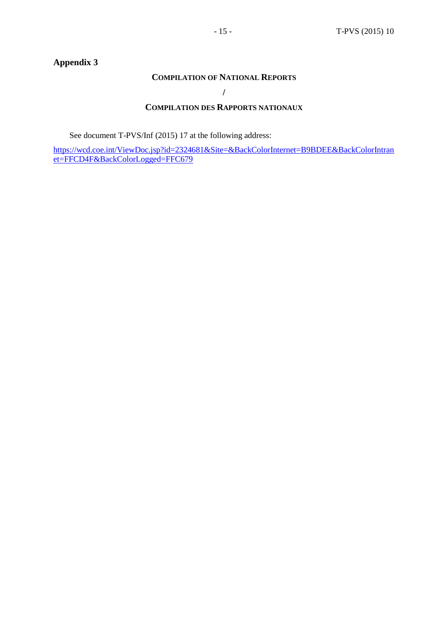## **COMPILATION OF NATIONAL REPORTS**

**/**

## **COMPILATION DES RAPPORTS NATIONAUX**

See document T-PVS/Inf (2015) 17 at the following address:

[https://wcd.coe.int/ViewDoc.jsp?id=2324681&Site=&BackColorInternet=B9BDEE&BackColorIntran](https://wcd.coe.int/ViewDoc.jsp?id=2324681&Site=&BackColorInternet=B9BDEE&BackColorIntranet=FFCD4F&BackColorLogged=FFC679) [et=FFCD4F&BackColorLogged=FFC679](https://wcd.coe.int/ViewDoc.jsp?id=2324681&Site=&BackColorInternet=B9BDEE&BackColorIntranet=FFCD4F&BackColorLogged=FFC679)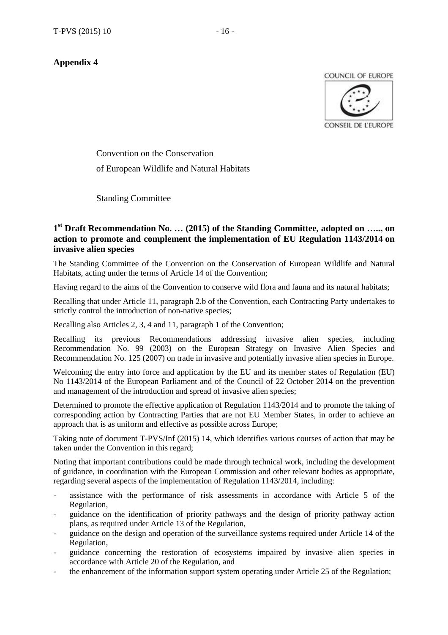COUNCIL OF EUROPE



Convention on the Conservation of European Wildlife and Natural Habitats

Standing Committee

## **1 st Draft Recommendation No. … (2015) of the Standing Committee, adopted on ….., on action to promote and complement the implementation of EU Regulation 1143/2014 on invasive alien species**

The Standing Committee of the Convention on the Conservation of European Wildlife and Natural Habitats, acting under the terms of Article 14 of the Convention;

Having regard to the aims of the Convention to conserve wild flora and fauna and its natural habitats;

Recalling that under Article 11, paragraph 2.b of the Convention, each Contracting Party undertakes to strictly control the introduction of non-native species;

Recalling also Articles 2, 3, 4 and 11, paragraph 1 of the Convention;

Recalling its previous Recommendations addressing invasive alien species, including Recommendation No. 99 (2003) on the European Strategy on Invasive Alien Species and Recommendation No. 125 (2007) on trade in invasive and potentially invasive alien species in Europe.

Welcoming the entry into force and application by the EU and its member states of Regulation (EU) No 1143/2014 of the European Parliament and of the Council of 22 October 2014 on the prevention and management of the introduction and spread of invasive alien species;

Determined to promote the effective application of Regulation 1143/2014 and to promote the taking of corresponding action by Contracting Parties that are not EU Member States, in order to achieve an approach that is as uniform and effective as possible across Europe;

Taking note of document T-PVS/Inf (2015) 14, which identifies various courses of action that may be taken under the Convention in this regard;

Noting that important contributions could be made through technical work, including the development of guidance, in coordination with the European Commission and other relevant bodies as appropriate, regarding several aspects of the implementation of Regulation 1143/2014, including:

- assistance with the performance of risk assessments in accordance with Article 5 of the Regulation,
- guidance on the identification of priority pathways and the design of priority pathway action plans, as required under Article 13 of the Regulation,
- guidance on the design and operation of the surveillance systems required under Article 14 of the Regulation,
- guidance concerning the restoration of ecosystems impaired by invasive alien species in accordance with Article 20 of the Regulation, and
- the enhancement of the information support system operating under Article 25 of the Regulation;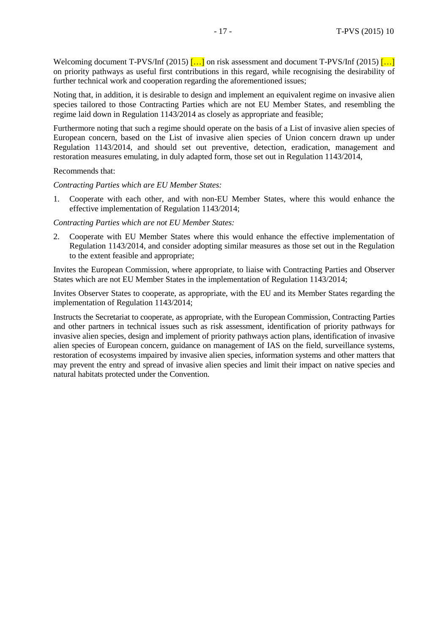Welcoming document T-PVS/Inf (2015)  $\left[\dots\right]$  on risk assessment and document T-PVS/Inf (2015)  $\left[\dots\right]$ on priority pathways as useful first contributions in this regard, while recognising the desirability of further technical work and cooperation regarding the aforementioned issues;

Noting that, in addition, it is desirable to design and implement an equivalent regime on invasive alien species tailored to those Contracting Parties which are not EU Member States, and resembling the regime laid down in Regulation 1143/2014 as closely as appropriate and feasible;

Furthermore noting that such a regime should operate on the basis of a List of invasive alien species of European concern, based on the List of invasive alien species of Union concern drawn up under Regulation 1143/2014, and should set out preventive, detection, eradication, management and restoration measures emulating, in duly adapted form, those set out in Regulation 1143/2014,

#### Recommends that:

*Contracting Parties which are EU Member States:*

1. Cooperate with each other, and with non-EU Member States, where this would enhance the effective implementation of Regulation 1143/2014;

#### *Contracting Parties which are not EU Member States:*

2. Cooperate with EU Member States where this would enhance the effective implementation of Regulation 1143/2014, and consider adopting similar measures as those set out in the Regulation to the extent feasible and appropriate;

Invites the European Commission, where appropriate, to liaise with Contracting Parties and Observer States which are not EU Member States in the implementation of Regulation 1143/2014;

Invites Observer States to cooperate, as appropriate, with the EU and its Member States regarding the implementation of Regulation 1143/2014;

Instructs the Secretariat to cooperate, as appropriate, with the European Commission, Contracting Parties and other partners in technical issues such as risk assessment, identification of priority pathways for invasive alien species, design and implement of priority pathways action plans, identification of invasive alien species of European concern, guidance on management of IAS on the field, surveillance systems, restoration of ecosystems impaired by invasive alien species, information systems and other matters that may prevent the entry and spread of invasive alien species and limit their impact on native species and natural habitats protected under the Convention.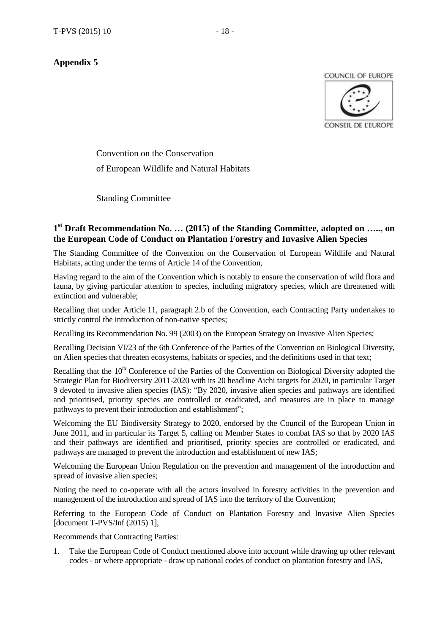COUNCIL OF EUROPE



Convention on the Conservation of European Wildlife and Natural Habitats

Standing Committee

## **1 st Draft Recommendation No. … (2015) of the Standing Committee, adopted on ….., on the European Code of Conduct on Plantation Forestry and Invasive Alien Species**

The Standing Committee of the Convention on the Conservation of European Wildlife and Natural Habitats, acting under the terms of Article 14 of the Convention,

Having regard to the aim of the Convention which is notably to ensure the conservation of wild flora and fauna, by giving particular attention to species, including migratory species, which are threatened with extinction and vulnerable;

Recalling that under Article 11, paragraph 2.b of the Convention, each Contracting Party undertakes to strictly control the introduction of non-native species;

Recalling its Recommendation No. 99 (2003) on the European Strategy on Invasive Alien Species;

Recalling Decision VI/23 of the 6th Conference of the Parties of the Convention on Biological Diversity, on Alien species that threaten ecosystems, habitats or species, and the definitions used in that text;

Recalling that the  $10<sup>th</sup>$  Conference of the Parties of the Convention on Biological Diversity adopted the Strategic Plan for Biodiversity 2011-2020 with its 20 headline Aichi targets for 2020, in particular Target 9 devoted to invasive alien species (IAS): "By 2020, invasive alien species and pathways are identified and prioritised, priority species are controlled or eradicated, and measures are in place to manage pathways to prevent their introduction and establishment";

Welcoming the EU Biodiversity Strategy to 2020, endorsed by the Council of the European Union in June 2011, and in particular its Target 5, calling on Member States to combat IAS so that by 2020 IAS and their pathways are identified and prioritised, priority species are controlled or eradicated, and pathways are managed to prevent the introduction and establishment of new IAS;

Welcoming the European Union Regulation on the prevention and management of the introduction and spread of invasive alien species;

Noting the need to co-operate with all the actors involved in forestry activities in the prevention and management of the introduction and spread of IAS into the territory of the Convention;

Referring to the European Code of Conduct on Plantation Forestry and Invasive Alien Species [document T-PVS/Inf (2015) 1],

Recommends that Contracting Parties:

1. Take the European Code of Conduct mentioned above into account while drawing up other relevant codes - or where appropriate - draw up national codes of conduct on plantation forestry and IAS,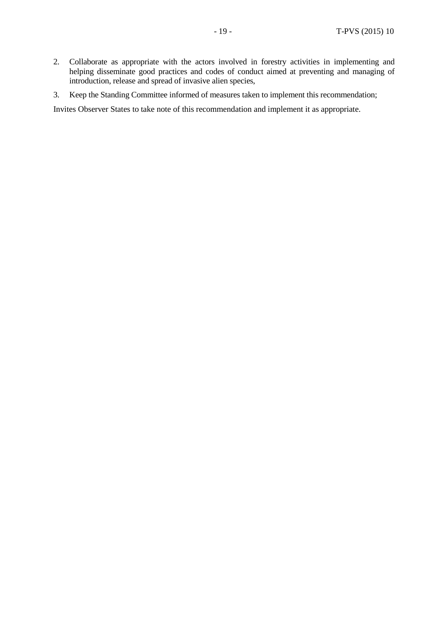- 2. Collaborate as appropriate with the actors involved in forestry activities in implementing and helping disseminate good practices and codes of conduct aimed at preventing and managing of introduction, release and spread of invasive alien species,
- 3. Keep the Standing Committee informed of measures taken to implement this recommendation;

Invites Observer States to take note of this recommendation and implement it as appropriate.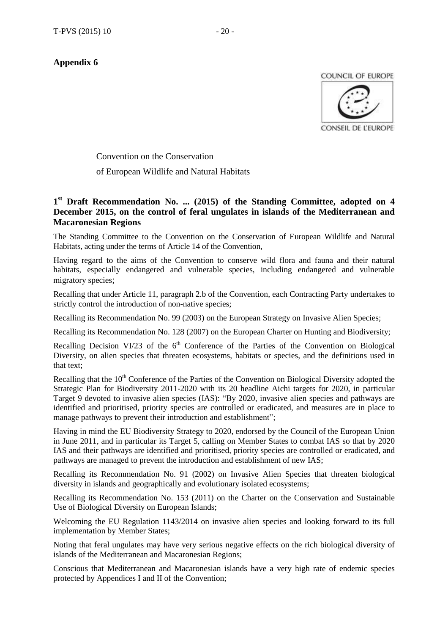COUNCIL OF EUROPE



Convention on the Conservation

of European Wildlife and Natural Habitats

## **1 st Draft Recommendation No. ... (2015) of the Standing Committee, adopted on 4 December 2015, on the control of feral ungulates in islands of the Mediterranean and Macaronesian Regions**

The Standing Committee to the Convention on the Conservation of European Wildlife and Natural Habitats, acting under the terms of Article 14 of the Convention,

Having regard to the aims of the Convention to conserve wild flora and fauna and their natural habitats, especially endangered and vulnerable species, including endangered and vulnerable migratory species;

Recalling that under Article 11, paragraph 2.b of the Convention, each Contracting Party undertakes to strictly control the introduction of non-native species;

Recalling its Recommendation No. 99 (2003) on the European Strategy on Invasive Alien Species;

Recalling its Recommendation No. 128 (2007) on the European Charter on Hunting and Biodiversity;

Recalling Decision VI/23 of the  $6<sup>th</sup>$  Conference of the Parties of the Convention on Biological Diversity, on alien species that threaten ecosystems, habitats or species, and the definitions used in that text;

Recalling that the 10<sup>th</sup> Conference of the Parties of the Convention on Biological Diversity adopted the Strategic Plan for Biodiversity 2011-2020 with its 20 headline Aichi targets for 2020, in particular Target 9 devoted to invasive alien species (IAS): "By 2020, invasive alien species and pathways are identified and prioritised, priority species are controlled or eradicated, and measures are in place to manage pathways to prevent their introduction and establishment";

Having in mind the EU Biodiversity Strategy to 2020, endorsed by the Council of the European Union in June 2011, and in particular its Target 5, calling on Member States to combat IAS so that by 2020 IAS and their pathways are identified and prioritised, priority species are controlled or eradicated, and pathways are managed to prevent the introduction and establishment of new IAS;

Recalling its Recommendation No. 91 (2002) on Invasive Alien Species that threaten biological diversity in islands and geographically and evolutionary isolated ecosystems;

Recalling its Recommendation No. 153 (2011) on the Charter on the Conservation and Sustainable Use of Biological Diversity on European Islands;

Welcoming the EU Regulation 1143/2014 on invasive alien species and looking forward to its full implementation by Member States;

Noting that feral ungulates may have very serious negative effects on the rich biological diversity of islands of the Mediterranean and Macaronesian Regions;

Conscious that Mediterranean and Macaronesian islands have a very high rate of endemic species protected by Appendices I and II of the Convention;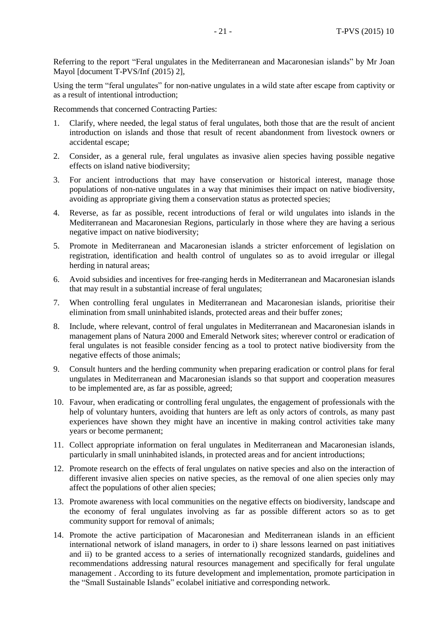Referring to the report "Feral ungulates in the Mediterranean and Macaronesian islands" by Mr Joan Mayol [document T-PVS/Inf (2015) 2],

Using the term "feral ungulates" for non-native ungulates in a wild state after escape from captivity or as a result of intentional introduction;

Recommends that concerned Contracting Parties:

- 1. Clarify, where needed, the legal status of feral ungulates, both those that are the result of ancient introduction on islands and those that result of recent abandonment from livestock owners or accidental escape;
- 2. Consider, as a general rule, feral ungulates as invasive alien species having possible negative effects on island native biodiversity;
- 3. For ancient introductions that may have conservation or historical interest, manage those populations of non-native ungulates in a way that minimises their impact on native biodiversity, avoiding as appropriate giving them a conservation status as protected species;
- 4. Reverse, as far as possible, recent introductions of feral or wild ungulates into islands in the Mediterranean and Macaronesian Regions, particularly in those where they are having a serious negative impact on native biodiversity;
- 5. Promote in Mediterranean and Macaronesian islands a stricter enforcement of legislation on registration, identification and health control of ungulates so as to avoid irregular or illegal herding in natural areas;
- 6. Avoid subsidies and incentives for free-ranging herds in Mediterranean and Macaronesian islands that may result in a substantial increase of feral ungulates;
- 7. When controlling feral ungulates in Mediterranean and Macaronesian islands, prioritise their elimination from small uninhabited islands, protected areas and their buffer zones;
- 8. Include, where relevant, control of feral ungulates in Mediterranean and Macaronesian islands in management plans of Natura 2000 and Emerald Network sites; wherever control or eradication of feral ungulates is not feasible consider fencing as a tool to protect native biodiversity from the negative effects of those animals;
- 9. Consult hunters and the herding community when preparing eradication or control plans for feral ungulates in Mediterranean and Macaronesian islands so that support and cooperation measures to be implemented are, as far as possible, agreed;
- 10. Favour, when eradicating or controlling feral ungulates, the engagement of professionals with the help of voluntary hunters, avoiding that hunters are left as only actors of controls, as many past experiences have shown they might have an incentive in making control activities take many years or become permanent;
- 11. Collect appropriate information on feral ungulates in Mediterranean and Macaronesian islands, particularly in small uninhabited islands, in protected areas and for ancient introductions;
- 12. Promote research on the effects of feral ungulates on native species and also on the interaction of different invasive alien species on native species, as the removal of one alien species only may affect the populations of other alien species;
- 13. Promote awareness with local communities on the negative effects on biodiversity, landscape and the economy of feral ungulates involving as far as possible different actors so as to get community support for removal of animals;
- 14. Promote the active participation of Macaronesian and Mediterranean islands in an efficient international network of island managers, in order to i) share lessons learned on past initiatives and ii) to be granted access to a series of internationally recognized standards, guidelines and recommendations addressing natural resources management and specifically for feral ungulate management . According to its future development and implementation, promote participation in the "Small Sustainable Islands" ecolabel initiative and corresponding network.